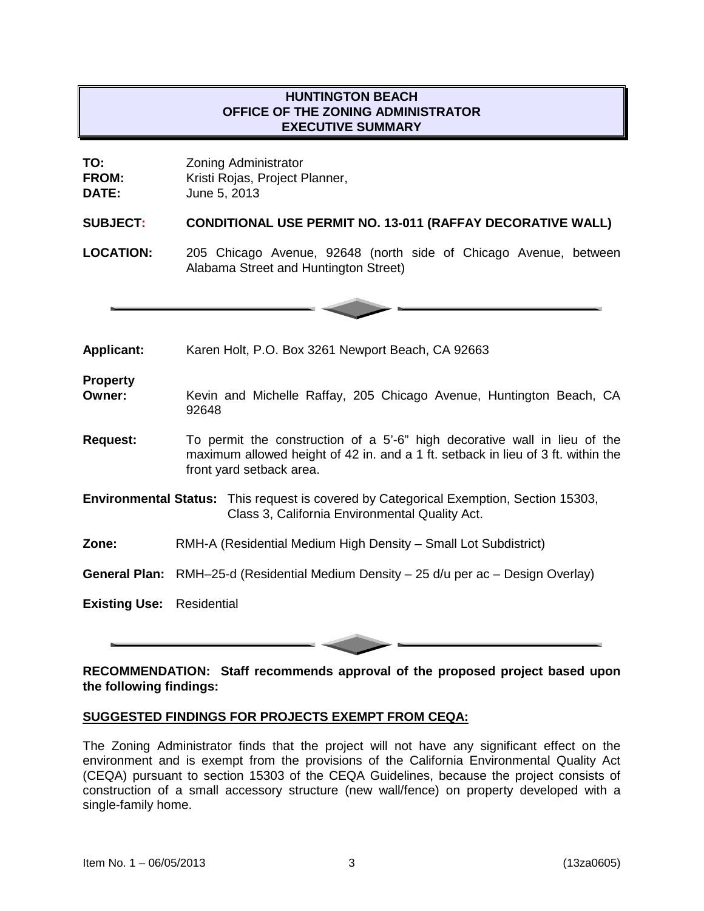# **HUNTINGTON BEACH OFFICE OF THE ZONING ADMINISTRATOR EXECUTIVE SUMMARY**

| TO:          | <b>Zoning Administrator</b>    |
|--------------|--------------------------------|
| <b>FROM:</b> | Kristi Rojas, Project Planner, |
| <b>DATE:</b> | June 5, 2013                   |

#### **SUBJECT: CONDITIONAL USE PERMIT NO. 13-011 (RAFFAY DECORATIVE WALL)**

**LOCATION:** 205 Chicago Avenue, 92648 (north side of Chicago Avenue, between Alabama Street and Huntington Street)



**Applicant:** Karen Holt, P.O. Box 3261 Newport Beach, CA 92663

**Property**

- **Owner:** Kevin and Michelle Raffay, 205 Chicago Avenue, Huntington Beach, CA 92648
- **Request:** To permit the construction of a 5'-6" high decorative wall in lieu of the maximum allowed height of 42 in. and a 1 ft. setback in lieu of 3 ft. within the front yard setback area.
- **Environmental Status:** This request is covered by Categorical Exemption, Section 15303, Class 3, California Environmental Quality Act.
- **Zone:** RMH-A (Residential Medium High Density Small Lot Subdistrict)
- **General Plan:** RMH–25-d (Residential Medium Density 25 d/u per ac Design Overlay)

**Existing Use:** Residential

### **RECOMMENDATION: Staff recommends approval of the proposed project based upon the following findings:**

## **SUGGESTED FINDINGS FOR PROJECTS EXEMPT FROM CEQA:**

The Zoning Administrator finds that the project will not have any significant effect on the environment and is exempt from the provisions of the California Environmental Quality Act (CEQA) pursuant to section 15303 of the CEQA Guidelines, because the project consists of construction of a small accessory structure (new wall/fence) on property developed with a single-family home.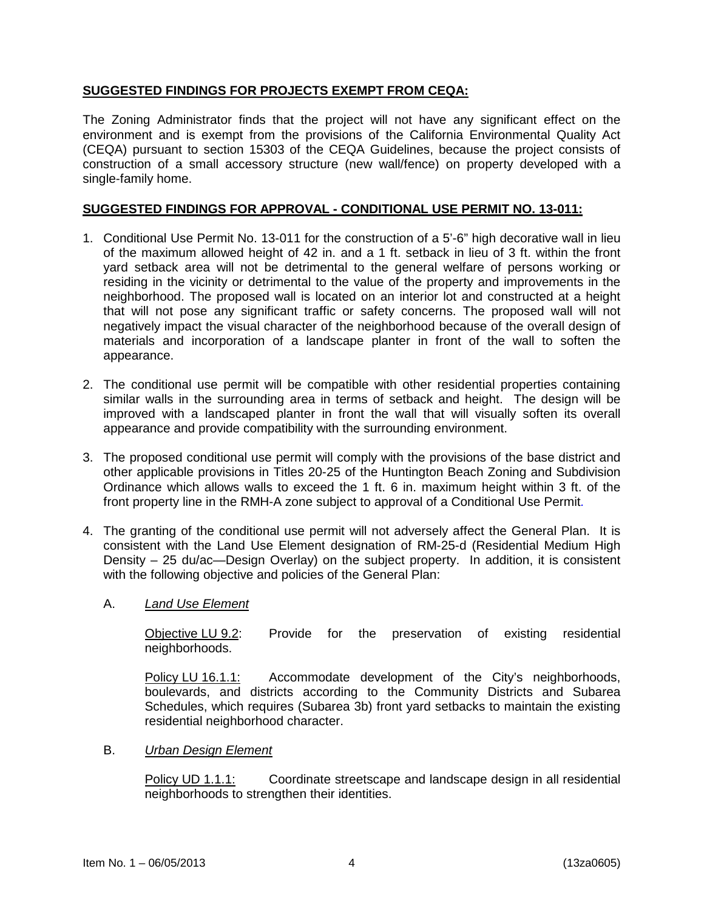# **SUGGESTED FINDINGS FOR PROJECTS EXEMPT FROM CEQA:**

The Zoning Administrator finds that the project will not have any significant effect on the environment and is exempt from the provisions of the California Environmental Quality Act (CEQA) pursuant to section 15303 of the CEQA Guidelines, because the project consists of construction of a small accessory structure (new wall/fence) on property developed with a single-family home.

## **SUGGESTED FINDINGS FOR APPROVAL - CONDITIONAL USE PERMIT NO. 13-011:**

- 1. Conditional Use Permit No. 13-011 for the construction of a 5'-6" high decorative wall in lieu of the maximum allowed height of 42 in. and a 1 ft. setback in lieu of 3 ft. within the front yard setback area will not be detrimental to the general welfare of persons working or residing in the vicinity or detrimental to the value of the property and improvements in the neighborhood. The proposed wall is located on an interior lot and constructed at a height that will not pose any significant traffic or safety concerns. The proposed wall will not negatively impact the visual character of the neighborhood because of the overall design of materials and incorporation of a landscape planter in front of the wall to soften the appearance.
- 2. The conditional use permit will be compatible with other residential properties containing similar walls in the surrounding area in terms of setback and height. The design will be improved with a landscaped planter in front the wall that will visually soften its overall appearance and provide compatibility with the surrounding environment.
- 3. The proposed conditional use permit will comply with the provisions of the base district and other applicable provisions in Titles 20-25 of the Huntington Beach Zoning and Subdivision Ordinance which allows walls to exceed the 1 ft. 6 in. maximum height within 3 ft. of the front property line in the RMH-A zone subject to approval of a Conditional Use Permit*.*
- 4. The granting of the conditional use permit will not adversely affect the General Plan. It is consistent with the Land Use Element designation of RM-25-d (Residential Medium High Density – 25 du/ac—Design Overlay) on the subject property. In addition, it is consistent with the following objective and policies of the General Plan:
	- A. *Land Use Element*

Objective LU 9.2: Provide for the preservation of existing residential neighborhoods.

Policy LU 16.1.1: Accommodate development of the City's neighborhoods, boulevards, and districts according to the Community Districts and Subarea Schedules, which requires (Subarea 3b) front yard setbacks to maintain the existing residential neighborhood character.

B. *Urban Design Element*

Policy UD 1.1.1: Coordinate streetscape and landscape design in all residential neighborhoods to strengthen their identities.